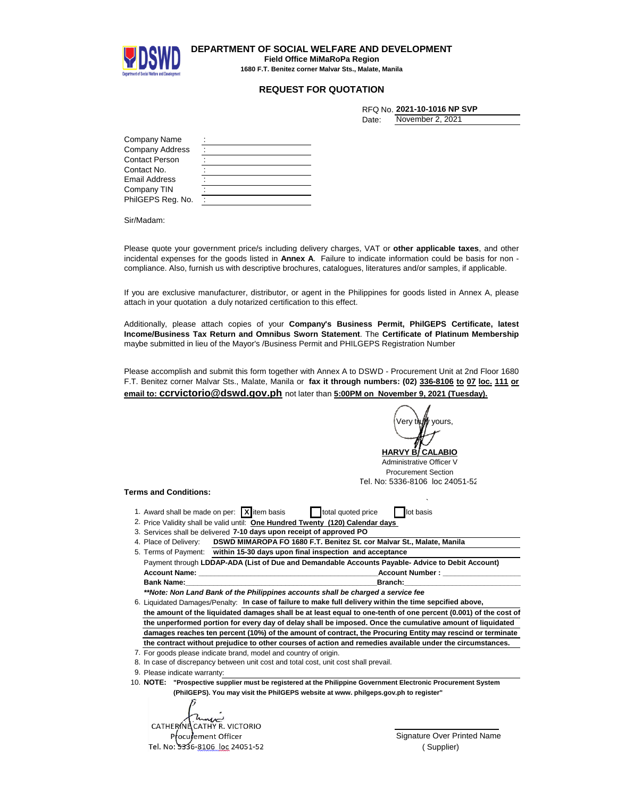

**DEPARTMENT OF SOCIAL WELFARE AND DEVELOPMENT Field Office MiMaRoPa Region 1680 F.T. Benitez corner Malvar Sts., Malate, Manila**

## **REQUEST FOR QUOTATION**

|  | RFQ No. <b>2021-10-1016 NP SVP</b> |  |  |
|--|------------------------------------|--|--|
|  |                                    |  |  |

November 2, 2021

Date:

| Company Name      |  |
|-------------------|--|
| Company Address   |  |
| Contact Person    |  |
| Contact No.       |  |
| Email Address     |  |
| Company TIN       |  |
| PhilGEPS Reg. No. |  |

Sir/Madam:

Please quote your government price/s including delivery charges, VAT or **other applicable taxes**, and other incidental expenses for the goods listed in **Annex A**. Failure to indicate information could be basis for non compliance. Also, furnish us with descriptive brochures, catalogues, literatures and/or samples, if applicable.

If you are exclusive manufacturer, distributor, or agent in the Philippines for goods listed in Annex A, please attach in your quotation a duly notarized certification to this effect.

Additionally, please attach copies of your **Company's Business Permit, PhilGEPS Certificate, latest Income/Business Tax Return and Omnibus Sworn Statement**. The **Certificate of Platinum Membership** maybe submitted in lieu of the Mayor's /Business Permit and PHILGEPS Registration Number

Please accomplish and submit this form together with Annex A to DSWD - Procurement Unit at 2nd Floor 1680 F.T. Benitez corner Malvar Sts., Malate, Manila or **fax it through numbers: (02) 336-8106 to 07 loc. 111 or email to: ccrvictorio@dswd.gov.ph** not later than **5:00PM on November 9, 2021 (Tuesday).**

Verv t**i\uW**yours

<u>HARVY B/ CALABIO</u> Administrative Officer V Procurement Section Tel. No: 5336-8106 loc 24051-52

## **Terms and Conditions:**

- ` 1. Award shall be made on per: **X** item basis total quoted price **let** lot basis
- 2. Price Validity shall be valid until: One Hundred Twenty (120) Calendar days
- 3. Services shall be delivered 7-10 days upon receipt of approved PO
- 4. Place of Delivery: **DSWD MIMAROPA FO 1680 F.T. Benitez St. cor Malvar St., Malate, Manila**
- Payment through **LDDAP-ADA (List of Due and Demandable Accounts Payable- Advice to Debit Account) Account Name: \_\_\_\_\_\_\_\_\_\_\_\_\_\_\_\_\_\_\_\_\_\_\_\_\_\_\_\_\_\_\_\_\_\_\_\_\_\_\_\_\_\_\_\_\_Account Number : \_\_\_\_\_\_\_\_\_\_\_\_\_\_\_\_\_\_\_\_\_\_\_\_\_\_\_\_\_ Bank Name:\_\_\_\_\_\_\_\_\_\_\_\_\_\_\_\_\_\_\_\_\_\_\_\_\_\_\_\_\_\_\_\_\_\_\_\_\_\_\_\_\_\_\_\_\_\_\_\_Branch:\_\_\_\_\_\_\_\_\_\_\_\_\_\_\_\_\_\_\_\_\_\_\_\_\_\_\_\_\_\_\_\_\_\_\_\_\_\_** 5. Terms of Payment: **within 15-30 days upon final inspection and acceptance**

*\*\*Note: Non Land Bank of the Philippines accounts shall be charged a service fee*

- 6. Liquidated Damages/Penalty: In case of failure to make full delivery within the time sepcified above,
- **the amount of the liquidated damages shall be at least equal to one-tenth of one percent (0.001) of the cost of the unperformed portion for every day of delay shall be imposed. Once the cumulative amount of liquidated damages reaches ten percent (10%) of the amount of contract, the Procuring Entity may rescind or terminate the contract without prejudice to other courses of action and remedies available under the circumstances.**
- 7. For goods please indicate brand, model and country of origin.
- 8. In case of discrepancy between unit cost and total cost, unit cost shall prevail.
- 9. Please indicate warranty:

10. **"Prospective supplier must be registered at the Philippine Government Electronic Procurement System NOTE: (PhilGEPS). You may visit the PhilGEPS website at www. philgeps.gov.ph to register"**

CATHERING CATHY R. VICTORIO Procurement Officer Tel. No: 5336-8106 loc 24051-52

Signature Over Printed Name ( Supplier)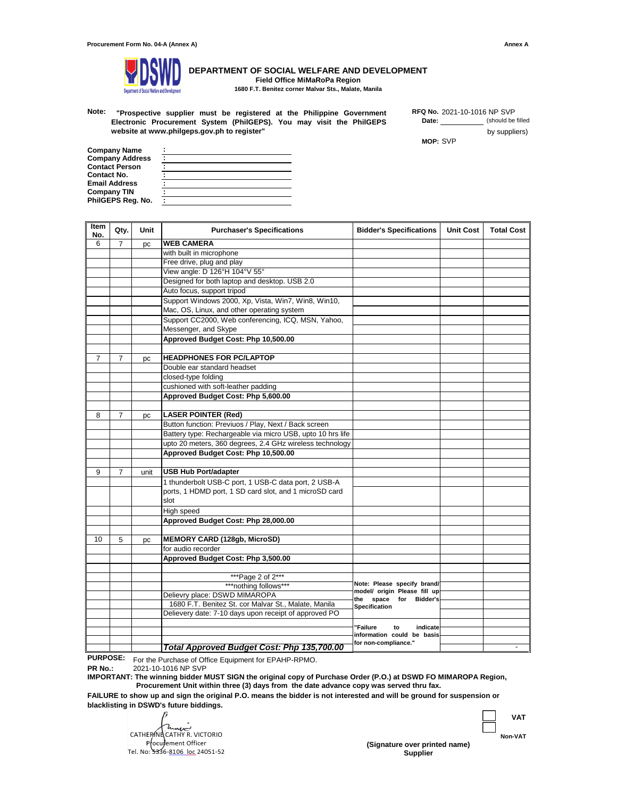

**DEPARTMENT OF SOCIAL WELFARE AND DEVELOPMENT Field Office MiMaRoPa Region 1680 F.T. Benitez corner Malvar Sts., Malate, Manila**

**Note:** 2021-10-1016 NP SVP **"Prospective supplier must be registered at the Philippine Government Electronic Procurement System (PhilGEPS). You may visit the PhilGEPS website at www.philgeps.gov.ph to register"** 

**Date:** (should be filled by suppliers) **RFQ No.**

**MOP:** SVP

**Company Name Company Address Contact Person PhilGEPS Reg. No. : Company TIN : : : : Contact No. : Email Address :**

| Item<br>No.    | Qty.           | Unit | <b>Purchaser's Specifications</b>                          | <b>Bidder's Specifications</b>                                      | <b>Unit Cost</b> | <b>Total Cost</b> |
|----------------|----------------|------|------------------------------------------------------------|---------------------------------------------------------------------|------------------|-------------------|
| 6              | $\overline{7}$ | рc   | <b>WEB CAMERA</b>                                          |                                                                     |                  |                   |
|                |                |      | with built in microphone                                   |                                                                     |                  |                   |
|                |                |      | Free drive, plug and play                                  |                                                                     |                  |                   |
|                |                |      | View angle: D 126°H 104°V 55°                              |                                                                     |                  |                   |
|                |                |      | Designed for both laptop and desktop. USB 2.0              |                                                                     |                  |                   |
|                |                |      | Auto focus, support tripod                                 |                                                                     |                  |                   |
|                |                |      | Support Windows 2000, Xp, Vista, Win7, Win8, Win10,        |                                                                     |                  |                   |
|                |                |      | Mac, OS, Linux, and other operating system                 |                                                                     |                  |                   |
|                |                |      | Support CC2000, Web conferencing, ICQ, MSN, Yahoo,         |                                                                     |                  |                   |
|                |                |      | Messenger, and Skype                                       |                                                                     |                  |                   |
|                |                |      | Approved Budget Cost: Php 10,500.00                        |                                                                     |                  |                   |
|                |                |      |                                                            |                                                                     |                  |                   |
| $\overline{7}$ | $\overline{7}$ | pc   | <b>HEADPHONES FOR PC/LAPTOP</b>                            |                                                                     |                  |                   |
|                |                |      | Double ear standard headset                                |                                                                     |                  |                   |
|                |                |      | closed-type folding                                        |                                                                     |                  |                   |
|                |                |      | cushioned with soft-leather padding                        |                                                                     |                  |                   |
|                |                |      | Approved Budget Cost: Php 5,600.00                         |                                                                     |                  |                   |
|                |                |      |                                                            |                                                                     |                  |                   |
| 8              | 7              | pc   | <b>LASER POINTER (Red)</b>                                 |                                                                     |                  |                   |
|                |                |      | Button function: Previuos / Play, Next / Back screen       |                                                                     |                  |                   |
|                |                |      | Battery type: Rechargeable via micro USB, upto 10 hrs life |                                                                     |                  |                   |
|                |                |      | upto 20 meters, 360 degrees, 2.4 GHz wireless technology   |                                                                     |                  |                   |
|                |                |      | Approved Budget Cost: Php 10,500.00                        |                                                                     |                  |                   |
|                |                |      |                                                            |                                                                     |                  |                   |
| 9              | 7              | unit | <b>USB Hub Port/adapter</b>                                |                                                                     |                  |                   |
|                |                |      | 1 thunderbolt USB-C port, 1 USB-C data port, 2 USB-A       |                                                                     |                  |                   |
|                |                |      | ports, 1 HDMD port, 1 SD card slot, and 1 microSD card     |                                                                     |                  |                   |
|                |                |      | slot                                                       |                                                                     |                  |                   |
|                |                |      | High speed                                                 |                                                                     |                  |                   |
|                |                |      | Approved Budget Cost: Php 28,000.00                        |                                                                     |                  |                   |
|                |                |      | <b>MEMORY CARD (128gb, MicroSD)</b>                        |                                                                     |                  |                   |
| 10             | 5              | рc   | for audio recorder                                         |                                                                     |                  |                   |
|                |                |      |                                                            |                                                                     |                  |                   |
|                |                |      | Approved Budget Cost: Php 3,500.00                         |                                                                     |                  |                   |
|                |                |      | ***Page 2 of 2***                                          |                                                                     |                  |                   |
|                |                |      | ***nothing follows***                                      | Note: Please specify brand/                                         |                  |                   |
|                |                |      | Delievry place: DSWD MIMAROPA                              | model/ origin Please fill up<br>the space<br><b>Bidder's</b><br>for |                  |                   |
|                |                |      | 1680 F.T. Benitez St. cor Malvar St., Malate, Manila       |                                                                     |                  |                   |
|                |                |      | Delievery date: 7-10 days upon receipt of approved PO      | <b>Specification</b>                                                |                  |                   |
|                |                |      |                                                            |                                                                     |                  |                   |
|                |                |      |                                                            | 'Failure<br>indicate<br>to                                          |                  |                   |
|                |                |      |                                                            | information could be basis<br>for non-compliance."                  |                  |                   |
|                |                |      | Total Approved Budget Cost: Php 135,700.00                 |                                                                     |                  |                   |

**PURPOSE:** For the Purchase of Office Equipment for EPAHP-RPMO.

**PR No.:** 2021-10-1016 NP SVP

**IMPORTANT: The winning bidder MUST SIGN the original copy of Purchase Order (P.O.) at DSWD FO MIMAROPA Region, Procurement Unit within three (3) days from the date advance copy was served thru fax.**

**FAILURE to show up and sign the original P.O. means the bidder is not interested and will be ground for suspension or blacklisting in DSWD's future biddings.**

CATHERING CATHY R. VICTORIO Procurement Officer Tel. No: 5336-8106 loc 24051-52



**Supplier (Signature over printed name)** **Non-VAT**